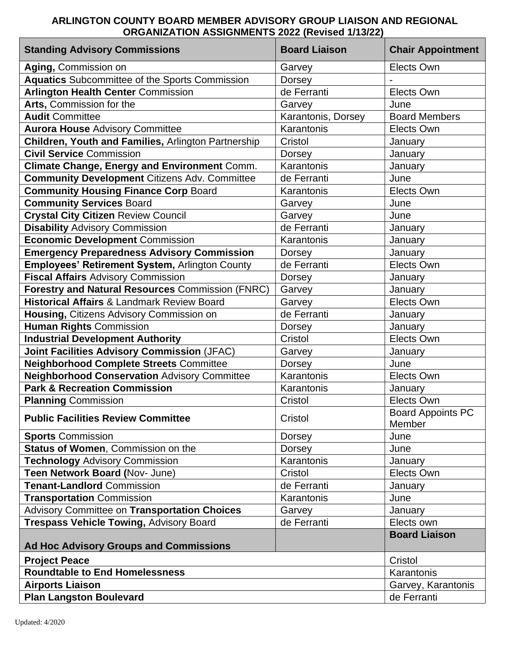## **ARLINGTON COUNTY BOARD MEMBER ADVISORY GROUP LIAISON AND REGIONAL ORGANIZATION ASSIGNMENTS 2022 (Revised 1/13/22)**

| <b>Standing Advisory Commissions</b>                    | <b>Board Liaison</b> | <b>Chair Appointment</b>           |
|---------------------------------------------------------|----------------------|------------------------------------|
| Aging, Commission on                                    | Garvey               | Elects Own                         |
| <b>Aquatics</b> Subcommittee of the Sports Commission   | <b>Dorsey</b>        |                                    |
| <b>Arlington Health Center Commission</b>               | de Ferranti          | Elects Own                         |
| Arts, Commission for the                                | Garvey               | June                               |
| <b>Audit Committee</b>                                  | Karantonis, Dorsey   | <b>Board Members</b>               |
| <b>Aurora House Advisory Committee</b>                  | Karantonis           | Elects Own                         |
| Children, Youth and Families, Arlington Partnership     | Cristol              | January                            |
| <b>Civil Service Commission</b>                         | <b>Dorsey</b>        | January                            |
| Climate Change, Energy and Environment Comm.            | Karantonis           | January                            |
| <b>Community Development Citizens Adv. Committee</b>    | de Ferranti          | June                               |
| <b>Community Housing Finance Corp Board</b>             | Karantonis           | Elects Own                         |
| <b>Community Services Board</b>                         | Garvey               | June                               |
| <b>Crystal City Citizen Review Council</b>              | Garvey               | June                               |
| <b>Disability Advisory Commission</b>                   | de Ferranti          | January                            |
| <b>Economic Development Commission</b>                  | Karantonis           | January                            |
| <b>Emergency Preparedness Advisory Commission</b>       | <b>Dorsey</b>        | January                            |
| Employees' Retirement System, Arlington County          | de Ferranti          | Elects Own                         |
| <b>Fiscal Affairs Advisory Commission</b>               | <b>Dorsey</b>        | January                            |
| <b>Forestry and Natural Resources Commission (FNRC)</b> | Garvey               | January                            |
| <b>Historical Affairs &amp; Landmark Review Board</b>   | Garvey               | Elects Own                         |
| Housing, Citizens Advisory Commission on                | de Ferranti          | January                            |
| <b>Human Rights Commission</b>                          | Dorsey               | January                            |
| <b>Industrial Development Authority</b>                 | Cristol              | Elects Own                         |
| Joint Facilities Advisory Commission (JFAC)             | Garvey               | January                            |
| <b>Neighborhood Complete Streets Committee</b>          | Dorsey               | June                               |
| <b>Neighborhood Conservation Advisory Committee</b>     | Karantonis           | Elects Own                         |
| <b>Park &amp; Recreation Commission</b>                 | Karantonis           | January                            |
| <b>Planning Commission</b>                              | Cristol              | Elects Own                         |
| <b>Public Facilities Review Committee</b>               | Cristol              | <b>Board Appoints PC</b><br>Member |
| <b>Sports Commission</b>                                | Dorsey               | June                               |
| <b>Status of Women, Commission on the</b>               | Dorsey               | June                               |
| <b>Technology Advisory Commission</b>                   | Karantonis           | January                            |
| Teen Network Board (Nov- June)                          | Cristol              | Elects Own                         |
| <b>Tenant-Landlord Commission</b>                       | de Ferranti          | January                            |
| <b>Transportation Commission</b>                        | Karantonis           | June                               |
| Advisory Committee on Transportation Choices            | Garvey               | January                            |
| <b>Trespass Vehicle Towing, Advisory Board</b>          | de Ferranti          | Elects own                         |
|                                                         |                      | <b>Board Liaison</b>               |
| <b>Ad Hoc Advisory Groups and Commissions</b>           |                      |                                    |
| <b>Project Peace</b>                                    |                      | Cristol                            |
| <b>Roundtable to End Homelessness</b>                   |                      | Karantonis                         |
| <b>Airports Liaison</b>                                 |                      | Garvey, Karantonis                 |
| <b>Plan Langston Boulevard</b>                          |                      | de Ferranti                        |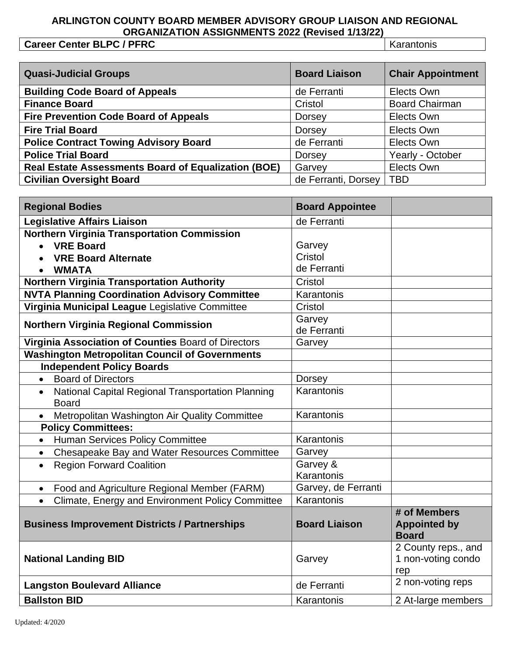## **ARLINGTON COUNTY BOARD MEMBER ADVISORY GROUP LIAISON AND REGIONAL ORGANIZATION ASSIGNMENTS 2022 (Revised 1/13/22)**

**Career Center BLPC / PFRC** Karantonis

| <b>Quasi-Judicial Groups</b>                               | <b>Board Liaison</b> | <b>Chair Appointment</b> |
|------------------------------------------------------------|----------------------|--------------------------|
| <b>Building Code Board of Appeals</b>                      | de Ferranti          | Elects Own               |
| <b>Finance Board</b>                                       | Cristol              | <b>Board Chairman</b>    |
| <b>Fire Prevention Code Board of Appeals</b>               | <b>Dorsey</b>        | Elects Own               |
| <b>Fire Trial Board</b>                                    | Dorsey               | Elects Own               |
| <b>Police Contract Towing Advisory Board</b>               | de Ferranti          | Elects Own               |
| <b>Police Trial Board</b>                                  | Dorsey               | Yearly - October         |
| <b>Real Estate Assessments Board of Equalization (BOE)</b> | Garvey               | Elects Own               |
| <b>Civilian Oversight Board</b>                            | de Ferranti, Dorsey  | <b>TBD</b>               |

| <b>Regional Bodies</b>                                                                                                            | <b>Board Appointee</b>           |                                                     |
|-----------------------------------------------------------------------------------------------------------------------------------|----------------------------------|-----------------------------------------------------|
| <b>Legislative Affairs Liaison</b>                                                                                                | de Ferranti                      |                                                     |
| <b>Northern Virginia Transportation Commission</b><br><b>VRE Board</b><br><b>VRE Board Alternate</b><br><b>WMATA</b><br>$\bullet$ | Garvey<br>Cristol<br>de Ferranti |                                                     |
| Northern Virginia Transportation Authority                                                                                        | Cristol                          |                                                     |
| <b>NVTA Planning Coordination Advisory Committee</b>                                                                              | Karantonis                       |                                                     |
| Virginia Municipal League Legislative Committee                                                                                   | Cristol                          |                                                     |
| <b>Northern Virginia Regional Commission</b>                                                                                      | Garvey<br>de Ferranti            |                                                     |
| Virginia Association of Counties Board of Directors                                                                               | Garvey                           |                                                     |
| <b>Washington Metropolitan Council of Governments</b>                                                                             |                                  |                                                     |
| <b>Independent Policy Boards</b>                                                                                                  |                                  |                                                     |
| <b>Board of Directors</b><br>$\bullet$                                                                                            | <b>Dorsey</b>                    |                                                     |
| National Capital Regional Transportation Planning<br>$\bullet$<br><b>Board</b>                                                    | Karantonis                       |                                                     |
| Metropolitan Washington Air Quality Committee                                                                                     | Karantonis                       |                                                     |
| <b>Policy Committees:</b>                                                                                                         |                                  |                                                     |
| Human Services Policy Committee<br>$\bullet$                                                                                      | Karantonis                       |                                                     |
| Chesapeake Bay and Water Resources Committee<br>$\bullet$                                                                         | Garvey                           |                                                     |
| <b>Region Forward Coalition</b><br>$\bullet$                                                                                      | Garvey &<br>Karantonis           |                                                     |
| Food and Agriculture Regional Member (FARM)<br>$\bullet$                                                                          | Garvey, de Ferranti              |                                                     |
| Climate, Energy and Environment Policy Committee<br>$\bullet$                                                                     | Karantonis                       |                                                     |
| <b>Business Improvement Districts / Partnerships</b>                                                                              | <b>Board Liaison</b>             | # of Members<br><b>Appointed by</b><br><b>Board</b> |
| <b>National Landing BID</b>                                                                                                       | Garvey                           | 2 County reps., and<br>1 non-voting condo<br>rep    |
| <b>Langston Boulevard Alliance</b>                                                                                                | de Ferranti                      | 2 non-voting reps                                   |
| <b>Ballston BID</b>                                                                                                               | Karantonis                       | 2 At-large members                                  |